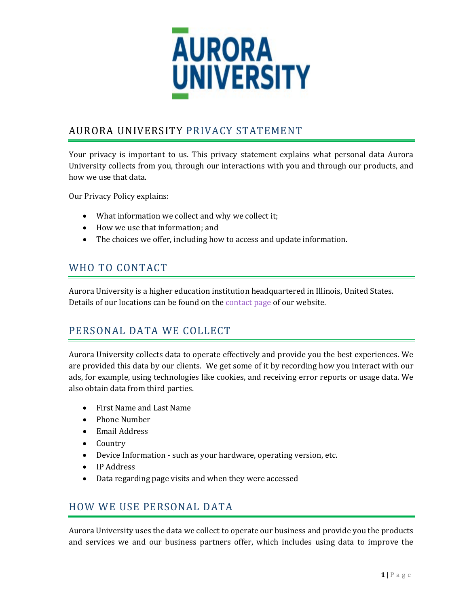

# AURORA UNIVERSITY PRIVACY STATEMENT

Your privacy is important to us. This privacy statement explains what personal data Aurora University collects from you, through our interactions with you and through our products, and how we use that data.

Our Privacy Policy explains:

- What information we collect and why we collect it;
- How we use that information; and
- The choices we offer, including how to access and update information.

## WHO TO CONTACT

Aurora University is a higher education institution headquartered in Illinois, United States. Details of our locations can be found on the [contact page](https://aurora.edu/directory/index.html#press) of our website.

#### PERSONAL DATA WE COLLECT

Aurora University collects data to operate effectively and provide you the best experiences. We are provided this data by our clients. We get some of it by recording how you interact with our ads, for example, using technologies like cookies, and receiving error reports or usage data. We also obtain data from third parties.

- First Name and Last Name
- Phone Number
- Email Address
- Country
- Device Information such as your hardware, operating version, etc.
- IP Address
- Data regarding page visits and when they were accessed

#### HOW WE USE PERSONAL DATA

Aurora University uses the data we collect to operate our business and provide you the products and services we and our business partners offer, which includes using data to improve the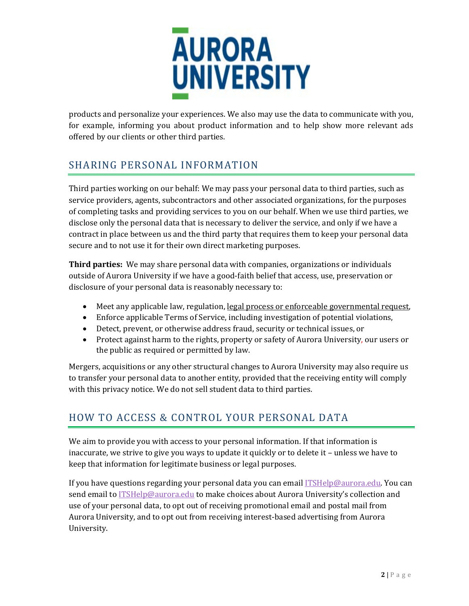

products and personalize your experiences. We also may use the data to communicate with you, for example, informing you about product information and to help show more relevant ads offered by our clients or other third parties.

# SHARING PERSONAL INFORMATION

Third parties working on our behalf: We may pass your personal data to third parties, such as service providers, agents, subcontractors and other associated organizations, for the purposes of completing tasks and providing services to you on our behalf. When we use third parties, we disclose only the personal data that is necessary to deliver the service, and only if we have a contract in place between us and the third party that requires them to keep your personal data secure and to not use it for their own direct marketing purposes.

**Third parties:** We may share personal data with companies, organizations or individuals outside of Aurora University if we have a good-faith belief that access, use, preservation or disclosure of your personal data is reasonably necessary to:

- Meet any applicable law, regulation, [legal process or enforceable governmental request,](https://www.google.com/policies/privacy/example/legal-process.html)
- Enforce applicable Terms of Service, including investigation of potential violations,
- Detect, prevent, or otherwise address fraud, security or technical issues, or
- Protect against harm to the rights, property or safety of Aurora University, our users or the public as required or permitted by law.

Mergers, acquisitions or any other structural changes to Aurora University may also require us to transfer your personal data to another entity, provided that the receiving entity will comply with this privacy notice. We do not sell student data to third parties.

# HOW TO ACCESS & CONTROL YOUR PERSONAL DATA

We aim to provide you with access to your personal information. If that information is inaccurate, we strive to give you ways to update it quickly or to delete it – unless we have to keep that information for legitimate business or legal purposes.

If you have questions regarding your personal data you can email *ITSHelp@aurora.edu.* You can send email to [ITSHelp@aurora.edu](mailto:ITSHelp@aurora.edu) to make choices about Aurora University's collection and use of your personal data, to opt out of receiving promotional email and postal mail from Aurora University, and to opt out from receiving interest-based advertising from Aurora University.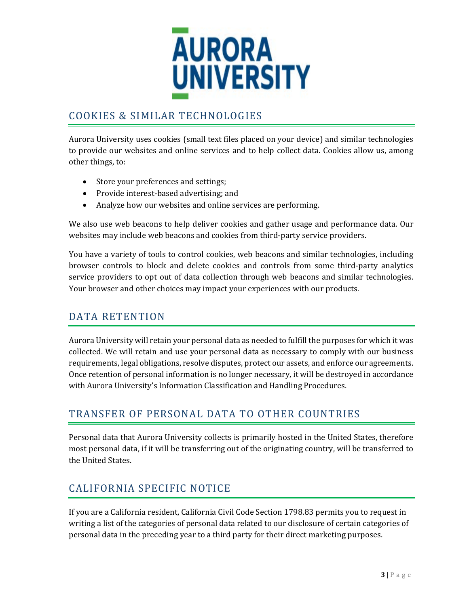

## COOKIES & SIMILAR TECHNOLOGIES

Aurora University uses cookies (small text files placed on your device) and similar technologies to provide our websites and online services and to help collect data. Cookies allow us, among other things, to:

- Store your preferences and settings;
- Provide interest-based advertising; and
- Analyze how our websites and online services are performing.

We also use web beacons to help deliver cookies and gather usage and performance data. Our websites may include web beacons and cookies from third-party service providers.

You have a variety of tools to control cookies, web beacons and similar technologies, including browser controls to block and delete cookies and controls from some third-party analytics service providers to opt out of data collection through web beacons and similar technologies. Your browser and other choices may impact your experiences with our products.

## DATA RETENTION

Aurora University will retain your personal data as needed to fulfill the purposes for which it was collected. We will retain and use your personal data as necessary to comply with our business requirements, legal obligations, resolve disputes, protect our assets, and enforce our agreements. Once retention of personal information is no longer necessary, it will be destroyed in accordance with Aurora University's Information Classification and Handling Procedures.

## TRANSFER OF PERSONAL DATA TO OTHER COUNTRIES

Personal data that Aurora University collects is primarily hosted in the United States, therefore most personal data, if it will be transferring out of the originating country, will be transferred to the United States.

## CALIFORNIA SPECIFIC NOTICE

If you are a California resident, California Civil Code Section 1798.83 permits you to request in writing a list of the categories of personal data related to our disclosure of certain categories of personal data in the preceding year to a third party for their direct marketing purposes.